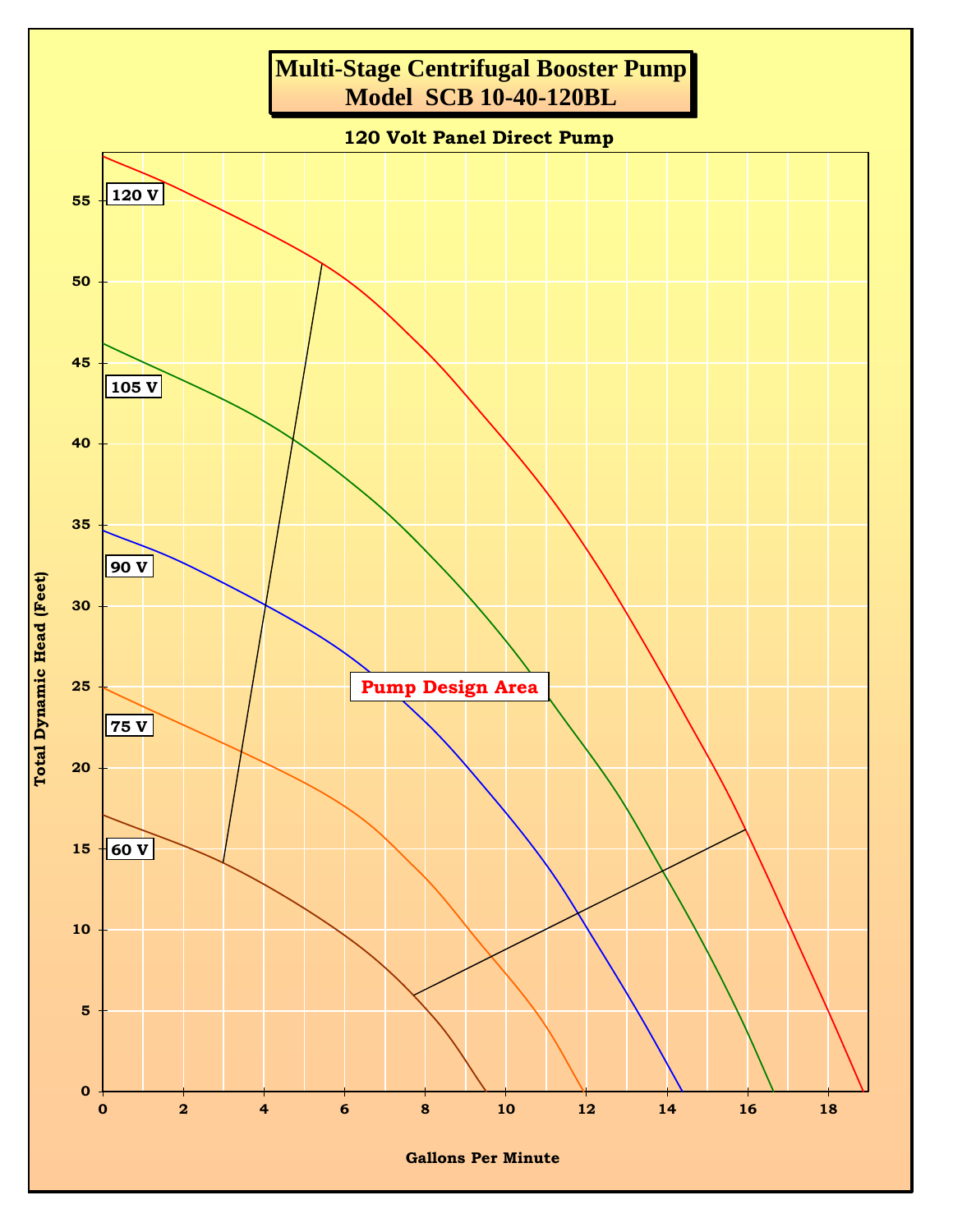